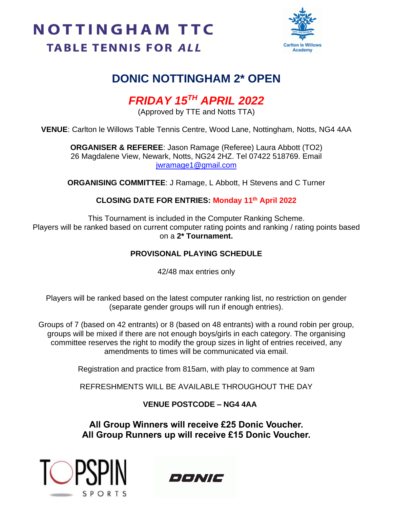# **NOTTINGHAM TTC TABLE TENNIS FOR ALL**



## **DONIC NOTTINGHAM 2\* OPEN**

# *FRIDAY 15TH APRIL 2022*

(Approved by TTE and Notts TTA)

**VENUE**: Carlton le Willows Table Tennis Centre, Wood Lane, Nottingham, Notts, NG4 4AA

**ORGANISER & REFEREE**: Jason Ramage (Referee) Laura Abbott (TO2) 26 Magdalene View, Newark, Notts, NG24 2HZ. Tel 07422 518769. Email [jwramage1@gmail.com](mailto:jwramage1@gmail.com)

**ORGANISING COMMITTEE**: J Ramage, L Abbott, H Stevens and C Turner

### **CLOSING DATE FOR ENTRIES: Monday 11th April 2022**

This Tournament is included in the Computer Ranking Scheme. Players will be ranked based on current computer rating points and ranking / rating points based on a **2\* Tournament.**

#### **PROVISONAL PLAYING SCHEDULE**

42/48 max entries only

Players will be ranked based on the latest computer ranking list, no restriction on gender (separate gender groups will run if enough entries).

Groups of 7 (based on 42 entrants) or 8 (based on 48 entrants) with a round robin per group, groups will be mixed if there are not enough boys/girls in each category. The organising committee reserves the right to modify the group sizes in light of entries received, any amendments to times will be communicated via email.

Registration and practice from 815am, with play to commence at 9am

REFRESHMENTS WILL BE AVAILABLE THROUGHOUT THE DAY

**VENUE POSTCODE – NG4 4AA**

**All Group Winners will receive £25 Donic Voucher. All Group Runners up will receive £15 Donic Voucher.**



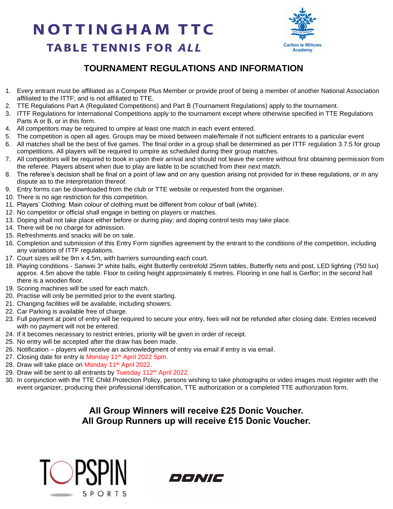# **NOTTINGHAM TTC TABLE TENNIS FOR ALL**



## **TOURNAMENT REGULATIONS AND INFORMATION**

- 1. Every entrant must be affiliated as a Compete Plus Member or provide proof of being a member of another National Association affiliated to the ITTF; and is not affiliated to TTE.
- 2. TTE Regulations Part A (Regulated Competitions) and Part B (Tournament Regulations) apply to the tournament.
- 3. ITTF Regulations for International Competitions apply to the tournament except where otherwise specified in TTE Regulations Parts A or B, or in this form.
- 4. All competitors may be required to umpire at least one match in each event entered.
- 5. The competition is open all ages. Groups may be mixed between male/female if not sufficient entrants to a particular event
- 6. All matches shall be the best of five games. The final order in a group shall be determined as per ITTF regulation 3.7.5 for group competitions. All players will be required to umpire as scheduled during their group matches.
- 7. All competitors will be required to book in upon their arrival and should not leave the centre without first obtaining permission from the referee. Players absent when due to play are liable to be scratched from their next match.
- 8. The referee's decision shall be final on a point of law and on any question arising not provided for in these regulations, or in any dispute as to the interpretation thereof.
- 9. Entry forms can be downloaded from the club or TTE website or requested from the organiser.
- 10. There is no age restriction for this competition.
- 11. Players' Clothing: Main colour of clothing must be different from colour of ball (white).
- 12. No competitor or official shall engage in betting on players or matches.
- 13. Doping shall not take place either before or during play; and doping control tests may take place.
- 14. There will be no charge for admission.
- 15. Refreshments and snacks will be on sale.
- 16. Completion and submission of this Entry Form signifies agreement by the entrant to the conditions of the competition, including any variations of ITTF regulations.
- 17. Court sizes will be 9m x 4.5m, with barriers surrounding each court.
- 18. Playing conditions Sanwei 3\* white balls, eight Butterfly centrefold 25mm tables, Butterfly nets and post, LED lighting (750 lux) approx. 4.5m above the table. Floor to ceiling height approximately 6 metres. Flooring in one hall is Gerflor; in the second hall there is a wooden floor.
- 19. Scoring machines will be used for each match.
- 20. Practise will only be permitted prior to the event starting.
- 21. Changing facilities will be available, including showers.
- 22. Car Parking is available free of charge.
- 23. Full payment at point of entry will be required to secure your entry, fees will not be refunded after closing date. Entries received with no payment will not be entered.
- 24. If it becomes necessary to restrict entries, priority will be given in order of receipt.
- 25. No entry will be accepted after the draw has been made.
- 26. Notification players will receive an acknowledgment of entry via email if entry is via email.
- 27. Closing date for entry is Monday 11<sup>th</sup> April 2022 5pm.
- 28. Draw will take place on Monday 11<sup>th</sup> April 2022.
- 29. Draw will be sent to all entrants by Tuesday 112<sup>th</sup> April 2022.
- 30. In conjunction with the TTE Child Protection Policy, persons wishing to take photographs or video images must register with the event organizer, producing their professional identification, TTE authorization or a completed TTE authorization form.

#### **All Group Winners will receive £25 Donic Voucher. All Group Runners up will receive £15 Donic Voucher.**